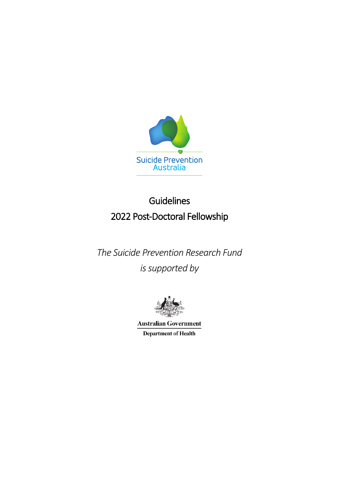

# Guidelines 2022 Post-Doctoral Fellowship

*The Suicide Prevention Research Fund is supported by*



**Australian Government Department of Health**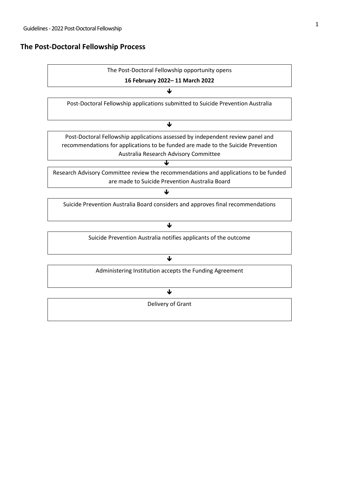# **The Post-Doctoral Fellowship Process**

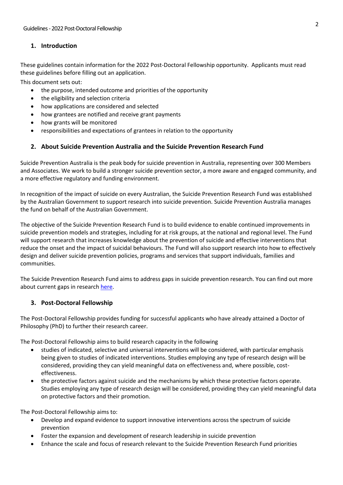## **1. Introduction**

These guidelines contain information for the 2022 Post-Doctoral Fellowship opportunity. Applicants must read these guidelines before filling out an application.

This document sets out:

- the purpose, intended outcome and priorities of the opportunity
- the eligibility and selection criteria
- how applications are considered and selected
- how grantees are notified and receive grant payments
- how grants will be monitored
- responsibilities and expectations of grantees in relation to the opportunity

## **2. About Suicide Prevention Australia and the Suicide Prevention Research Fund**

Suicide Prevention Australia is the peak body for suicide prevention in Australia, representing over 300 Members and Associates. We work to build a stronger suicide prevention sector, a more aware and engaged community, and a more effective regulatory and funding environment.

In recognition of the impact of suicide on every Australian, the Suicide Prevention Research Fund was established by the Australian Government to support research into suicide prevention. Suicide Prevention Australia manages the fund on behalf of the Australian Government.

The objective of the Suicide Prevention Research Fund is to build evidence to enable continued improvements in suicide prevention models and strategies, including for at risk groups, at the national and regional level. The Fund will support research that increases knowledge about the prevention of suicide and effective interventions that reduce the onset and the impact of suicidal behaviours. The Fund will also support research into how to effectively design and deliver suicide prevention policies, programs and services that support individuals, families and communities.

The Suicide Prevention Research Fund aims to address gaps in suicide prevention research. You can find out more about current gaps in research [here.](https://www.suicidepreventionaust.org/wp-content/uploads/2020/09/Research-Priorities-Report-FINAL-2017-11-03.pdf)

## **3. Post-Doctoral Fellowship**

The Post-Doctoral Fellowship provides funding for successful applicants who have already attained a Doctor of Philosophy (PhD) to further their research career.

The Post-Doctoral Fellowship aims to build research capacity in the following

- studies of indicated, selective and universal interventions will be considered, with particular emphasis being given to studies of indicated interventions. Studies employing any type of research design will be considered, providing they can yield meaningful data on effectiveness and, where possible, costeffectiveness.
- the protective factors against suicide and the mechanisms by which these protective factors operate. Studies employing any type of research design will be considered, providing they can yield meaningful data on protective factors and their promotion.

The Post-Doctoral Fellowship aims to:

- Develop and expand evidence to support innovative interventions across the spectrum of suicide prevention
- Foster the expansion and development of research leadership in suicide prevention
- Enhance the scale and focus of research relevant to the Suicide Prevention Research Fund priorities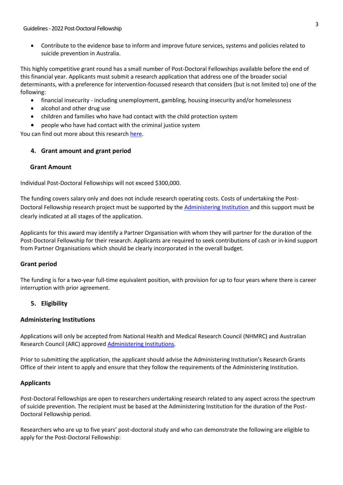• Contribute to the evidence base to inform and improve future services, systems and policies related to suicide prevention in Australia.

This highly competitive grant round has a small number of Post-Doctoral Fellowships available before the end of this financial year. Applicants must submit a research application that address one of the broader social determinants, with a preference for intervention-focussed research that considers (but is not limited to) one of the following:

- financial insecurity including unemployment, gambling, housing insecurity and/or homelessness
- alcohol and other drug use
- children and families who have had contact with the child protection system
- people who have had contact with the criminal justice system

You can find out more about this research [here.](https://www.suicidepreventionaust.org/research-grants/research-outcomes/#1605052143908-11549167-6c9f)

## **4. Grant amount and grant period**

## **Grant Amount**

Individual Post-Doctoral Fellowships will not exceed \$300,000.

The funding covers salary only and does not include research operating costs. Costs of undertaking the Post-Doctoral Fellowship research project must be supported by the [Administering Institution](https://www.nhmrc.gov.au/sites/default/files/documents/attachments/administering-institutions-10SEP.pdf) and this support must be clearly indicated at all stages of the application.

Applicants for this award may identify a Partner Organisation with whom they will partner for the duration of the Post-Doctoral Fellowship for their research. Applicants are required to seek contributions of cash or in-kind support from Partner Organisations which should be clearly incorporated in the overall budget.

## **Grant period**

The funding is for a two-year full-time equivalent position, with provision for up to four years where there is career interruption with prior agreement.

## **5. Eligibility**

#### **Administering Institutions**

Applications will only be accepted from National Health and Medical Research Council (NHMRC) and Australian Research Council (ARC) approved [Administering Institutions.](https://www.nhmrc.gov.au/sites/default/files/documents/attachments/administering-institutions-10SEP.pdf)

Prior to submitting the application, the applicant should advise the Administering Institution's Research Grants Office of their intent to apply and ensure that they follow the requirements of the Administering Institution.

## **Applicants**

Post-Doctoral Fellowships are open to researchers undertaking research related to any aspect across the spectrum of suicide prevention. The recipient must be based at the Administering Institution for the duration of the Post-Doctoral Fellowship period.

Researchers who are up to five years' post-doctoral study and who can demonstrate the following are eligible to apply for the Post-Doctoral Fellowship: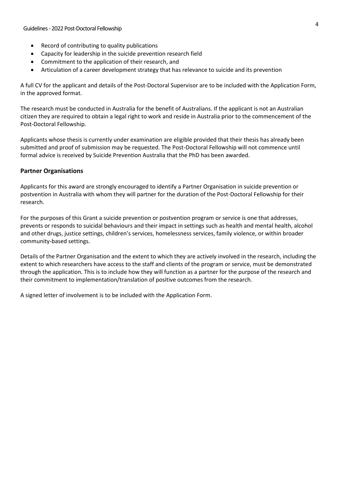- Record of contributing to quality publications
- Capacity for leadership in the suicide prevention research field
- Commitment to the application of their research, and
- Articulation of a career development strategy that has relevance to suicide and its prevention

A full CV for the applicant and details of the Post-Doctoral Supervisor are to be included with the Application Form, in the approved format.

The research must be conducted in Australia for the benefit of Australians. If the applicant is not an Australian citizen they are required to obtain a legal right to work and reside in Australia prior to the commencement of the Post-Doctoral Fellowship.

Applicants whose thesis is currently under examination are eligible provided that their thesis has already been submitted and proof of submission may be requested. The Post-Doctoral Fellowship will not commence until formal advice is received by Suicide Prevention Australia that the PhD has been awarded.

#### **Partner Organisations**

Applicants for this award are strongly encouraged to identify a Partner Organisation in suicide prevention or postvention in Australia with whom they will partner for the duration of the Post-Doctoral Fellowship for their research.

For the purposes of this Grant a suicide prevention or postvention program or service is one that addresses, prevents or responds to suicidal behaviours and their impact in settings such as health and mental health, alcohol and other drugs, justice settings, children's services, homelessness services, family violence, or within broader community-based settings.

Details of the Partner Organisation and the extent to which they are actively involved in the research, including the extent to which researchers have access to the staff and clients of the program or service, must be demonstrated through the application. This is to include how they will function as a partner for the purpose of the research and their commitment to implementation/translation of positive outcomes from the research.

A signed letter of involvement is to be included with the Application Form.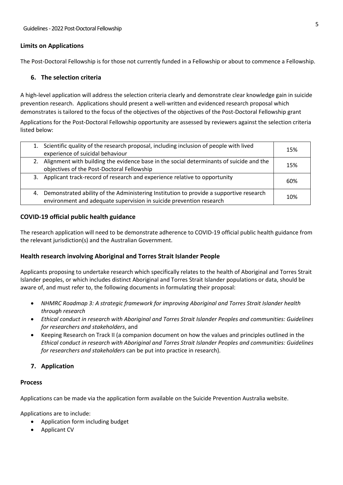#### **Limits on Applications**

The Post-Doctoral Fellowship is for those not currently funded in a Fellowship or about to commence a Fellowship.

#### **6. The selection criteria**

A high-level application will address the selection criteria clearly and demonstrate clear knowledge gain in suicide prevention research. Applications should present a well-written and evidenced research proposal which demonstrates is tailored to the focus of the objectives of the objectives of the Post-Doctoral Fellowship grant

Applications for the Post-Doctoral Fellowship opportunity are assessed by reviewers against the selection criteria listed below:

|    | 1. Scientific quality of the research proposal, including inclusion of people with lived<br>experience of suicidal behaviour                                  | 15% |
|----|---------------------------------------------------------------------------------------------------------------------------------------------------------------|-----|
|    | 2. Alignment with building the evidence base in the social determinants of suicide and the<br>objectives of the Post-Doctoral Fellowship                      | 15% |
|    | 3. Applicant track-record of research and experience relative to opportunity                                                                                  | 60% |
| 4. | Demonstrated ability of the Administering Institution to provide a supportive research<br>environment and adequate supervision in suicide prevention research | 10% |

#### **COVID-19 official public health guidance**

The research application will need to be demonstrate adherence to COVID-19 official public health guidance from the relevant jurisdiction(s) and the Australian Government.

## **Health research involving Aboriginal and Torres Strait Islander People**

Applicants proposing to undertake research which specifically relates to the health of Aboriginal and Torres Strait Islander peoples, or which includes distinct Aboriginal and Torres Strait Islander populations or data, should be aware of, and must refer to, the following documents in formulating their proposal:

- *NHMRC Roadmap 3: A strategic framework for improving Aboriginal and Torres Strait Islander health through research*
- *Ethical conduct in research with Aboriginal and Torres Strait Islander Peoples and communities: Guidelines for researchers and stakeholders*, and
- Keeping Research on Track II (a companion document on how the values and principles outlined in the *Ethical conduct in research with Aboriginal and Torres Strait Islander Peoples and communities: Guidelines for researchers and stakeholders* can be put into practice in research).

## **7. Application**

#### **Process**

Applications can be made via the application form available on the Suicide Prevention Australia website.

Applications are to include:

- Application form including budget
- Applicant CV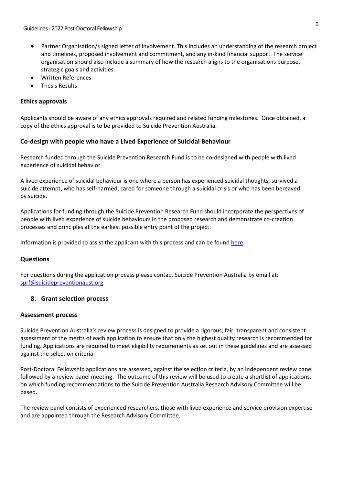- Partner Organisation/s signed letter of involvement. This includes an understanding of the research project and timelines, proposed involvement and commitment, and any in-kind financial support. The service organisation should also include a summary of how the research aligns to the organisations purpose, strategic goals and activities.
- Written References
- Thesis Results

## **Ethics approvals**

Applicants should be aware of any ethics approvals required and related funding milestones. Once obtained, a copy of the ethics approval is to be provided to Suicide Prevention Australia.

## **Co-design with people who have a Lived Experience of Suicidal Behaviour**

Research funded through the Suicide Prevention Research Fund is to be co-designed with people with lived experience of suicidal behavior.

A lived experience of suicidal behaviour is one where a person has experienced suicidal thoughts, survived a suicide attempt, who has self-harmed, cared for someone through a suicidal crisis or who has been bereaved by suicide.

Applications for funding through the Suicide Prevention Research Fund should incorporate the perspectives of people with lived experience of suicide behaviours in the proposed research and demonstrate co-creation processes and principles at the earliest possible entry point of the project.

Information is provided to assist the applicant with this process and can be found [here.](https://www.suicidepreventionaust.org/wp-content/uploads/2020/09/Incorporating-Lived-Experience-Nov-2019.pdf)

## **Questions**

For questions during the application process please contact Suicide Prevention Australia by email at: [sprf@suicidepreventionaust.org](mailto:sprf@suicidepreventionaust.org)

## **8. Grant selection process**

#### **Assessment process**

Suicide Prevention Australia's review process is designed to provide a rigorous, fair, transparent and consistent assessment of the merits of each application to ensure that only the highest quality research is recommended for funding. Applications are required to meet eligibility requirements as set out in these guidelines and are assessed against the selection criteria.

Post-Doctoral Fellowship applications are assessed, against the selection criteria, by an independent review panel followed by a review panel meeting. The outcome of this review will be used to create a shortlist of applications, on which funding recommendations to the Suicide Prevention Australia Research Advisory Committee will be based.

The review panel consists of experienced researchers, those with lived experience and service provision expertise and are appointed through the Research Advisory Committee.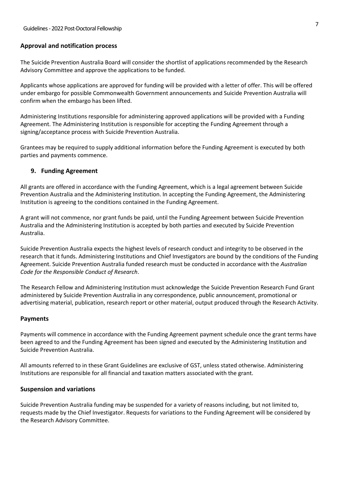#### **Approval and notification process**

The Suicide Prevention Australia Board will consider the shortlist of applications recommended by the Research Advisory Committee and approve the applications to be funded.

Applicants whose applications are approved for funding will be provided with a letter of offer. This will be offered under embargo for possible Commonwealth Government announcements and Suicide Prevention Australia will confirm when the embargo has been lifted.

Administering Institutions responsible for administering approved applications will be provided with a Funding Agreement. The Administering Institution is responsible for accepting the Funding Agreement through a signing/acceptance process with Suicide Prevention Australia.

Grantees may be required to supply additional information before the Funding Agreement is executed by both parties and payments commence.

#### **9. Funding Agreement**

All grants are offered in accordance with the Funding Agreement, which is a legal agreement between Suicide Prevention Australia and the Administering Institution. In accepting the Funding Agreement, the Administering Institution is agreeing to the conditions contained in the Funding Agreement.

A grant will not commence, nor grant funds be paid, until the Funding Agreement between Suicide Prevention Australia and the Administering Institution is accepted by both parties and executed by Suicide Prevention Australia.

Suicide Prevention Australia expects the highest levels of research conduct and integrity to be observed in the research that it funds. Administering Institutions and Chief Investigators are bound by the conditions of the Funding Agreement. Suicide Prevention Australia funded research must be conducted in accordance with the *Australian Code for the Responsible Conduct of Research*.

The Research Fellow and Administering Institution must acknowledge the Suicide Prevention Research Fund Grant administered by Suicide Prevention Australia in any correspondence, public announcement, promotional or advertising material, publication, research report or other material, output produced through the Research Activity.

#### **Payments**

Payments will commence in accordance with the Funding Agreement payment schedule once the grant terms have been agreed to and the Funding Agreement has been signed and executed by the Administering Institution and Suicide Prevention Australia.

All amounts referred to in these Grant Guidelines are exclusive of GST, unless stated otherwise. Administering Institutions are responsible for all financial and taxation matters associated with the grant.

#### **Suspension and variations**

Suicide Prevention Australia funding may be suspended for a variety of reasons including, but not limited to, requests made by the Chief Investigator. Requests for variations to the Funding Agreement will be considered by the Research Advisory Committee.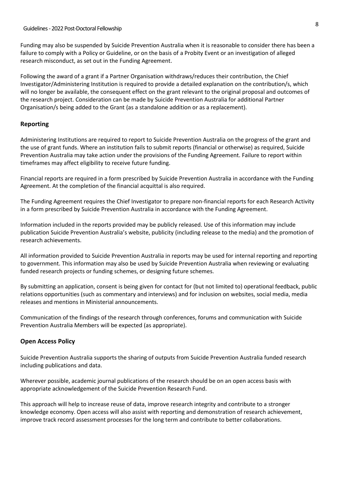Funding may also be suspended by Suicide Prevention Australia when it is reasonable to consider there has been a failure to comply with a Policy or Guideline, or on the basis of a Probity Event or an investigation of alleged research misconduct, as set out in the Funding Agreement.

Following the award of a grant if a Partner Organisation withdraws/reduces their contribution, the Chief Investigator/Administering Institution is required to provide a detailed explanation on the contribution/s, which will no longer be available, the consequent effect on the grant relevant to the original proposal and outcomes of the research project. Consideration can be made by Suicide Prevention Australia for additional Partner Organisation/s being added to the Grant (as a standalone addition or as a replacement).

#### **Reporting**

Administering Institutions are required to report to Suicide Prevention Australia on the progress of the grant and the use of grant funds. Where an institution fails to submit reports (financial or otherwise) as required, Suicide Prevention Australia may take action under the provisions of the Funding Agreement. Failure to report within timeframes may affect eligibility to receive future funding.

Financial reports are required in a form prescribed by Suicide Prevention Australia in accordance with the Funding Agreement. At the completion of the financial acquittal is also required.

The Funding Agreement requires the Chief Investigator to prepare non-financial reports for each Research Activity in a form prescribed by Suicide Prevention Australia in accordance with the Funding Agreement.

Information included in the reports provided may be publicly released. Use of this information may include publication Suicide Prevention Australia's website, publicity (including release to the media) and the promotion of research achievements.

All information provided to Suicide Prevention Australia in reports may be used for internal reporting and reporting to government. This information may also be used by Suicide Prevention Australia when reviewing or evaluating funded research projects or funding schemes, or designing future schemes.

By submitting an application, consent is being given for contact for (but not limited to) operational feedback, public relations opportunities (such as commentary and interviews) and for inclusion on websites, social media, media releases and mentions in Ministerial announcements.

Communication of the findings of the research through conferences, forums and communication with Suicide Prevention Australia Members will be expected (as appropriate).

#### **Open Access Policy**

Suicide Prevention Australia supports the sharing of outputs from Suicide Prevention Australia funded research including publications and data.

Wherever possible, academic journal publications of the research should be on an open access basis with appropriate acknowledgement of the Suicide Prevention Research Fund.

This approach will help to increase reuse of data, improve research integrity and contribute to a stronger knowledge economy. Open access will also assist with reporting and demonstration of research achievement, improve track record assessment processes for the long term and contribute to better collaborations.